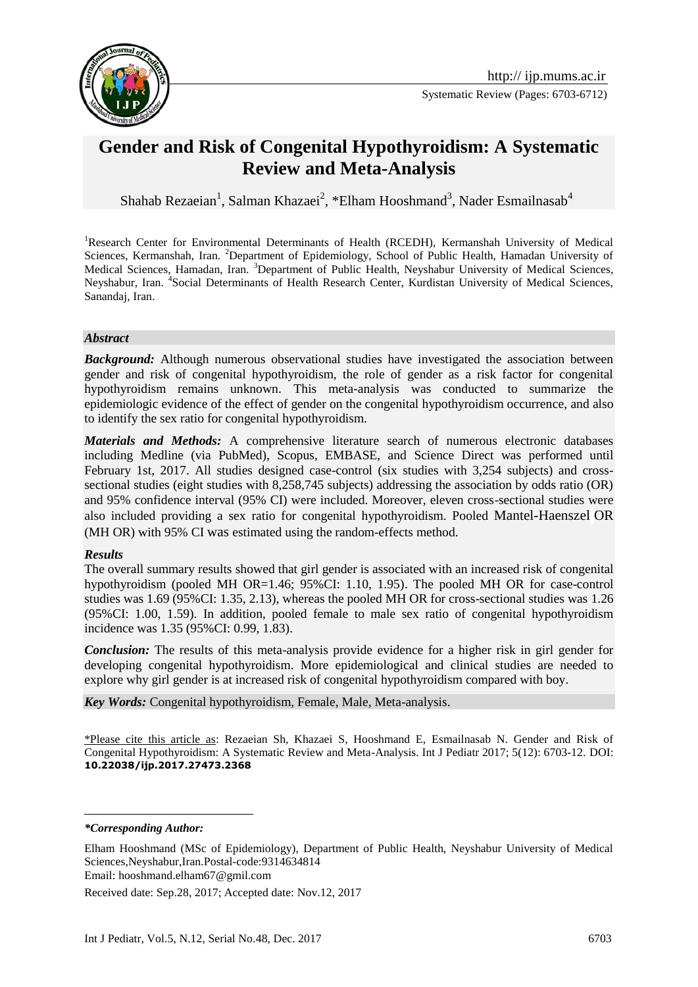

# **[Gender and Risk of Congenital Hypothyroidism: A Systematic](http://www.ncbi.nlm.nih.gov/pubmed/24460326)  [Review and Meta-Analysis](http://www.ncbi.nlm.nih.gov/pubmed/24460326)**

Shahab Rezaeian<sup>1</sup>, Salman Khazaei<sup>2</sup>, \*Elham Hooshmand<sup>3</sup>, Nader Esmailnasab<sup>4</sup>

<sup>1</sup>Research Center for Environmental Determinants of Health (RCEDH), Kermanshah University of Medical Sciences, Kermanshah, Iran. <sup>2</sup>Department of Epidemiology, School of Public Health, Hamadan University of Medical Sciences, Hamadan, Iran. <sup>3</sup>Department of Public Health, Neyshabur University of Medical Sciences, Neyshabur, Iran. <sup>4</sup>Social Determinants of Health Research Center, Kurdistan University of Medical Sciences, Sanandaj, Iran.

#### *Abstract*

**Background:** Although numerous observational studies have investigated the association between gender and risk of congenital hypothyroidism, the role of gender as a risk factor for congenital hypothyroidism remains unknown. This meta-analysis was conducted to summarize the epidemiologic evidence of the effect of gender on the congenital hypothyroidism occurrence, and also to identify the sex ratio for congenital hypothyroidism.

*Materials and Methods:* A comprehensive literature search of numerous electronic databases including Medline (via PubMed), Scopus, EMBASE, and Science Direct was performed until February 1st, 2017. All studies designed case-control (six studies with 3,254 subjects) and crosssectional studies (eight studies with 8,258,745 subjects) addressing the association by odds ratio (OR) and 95% confidence interval (95% CI) were included. Moreover, eleven cross-sectional studies were also included providing a sex ratio for congenital hypothyroidism. Pooled Mantel-Haenszel OR (MH OR) with 95% CI was estimated using the random-effects method.

## *Results*

The overall summary results showed that girl gender is associated with an increased risk of congenital hypothyroidism (pooled MH OR=1.46; 95%CI: 1.10, 1.95). The pooled MH OR for case-control studies was 1.69 (95%CI: 1.35, 2.13), whereas the pooled MH OR for cross-sectional studies was 1.26 (95%CI: 1.00, 1.59). In addition, pooled female to male sex ratio of congenital hypothyroidism incidence was 1.35 (95%CI: 0.99, 1.83).

*Conclusion:* The results of this meta-analysis provide evidence for a higher risk in girl gender for developing congenital hypothyroidism. More epidemiological and clinical studies are needed to explore why girl gender is at increased risk of congenital hypothyroidism compared with boy.

*Key Words:* Congenital hypothyroidism, Female, Male, Meta-analysis.

\*Please cite this article as: Rezaeian Sh, Khazaei S, Hooshmand E, Esmailnasab N. [Gender and Risk of](http://www.ncbi.nlm.nih.gov/pubmed/24460326)  [Congenital Hypothyroidism: A Systematic Review and Meta-Analysis.](http://www.ncbi.nlm.nih.gov/pubmed/24460326) Int J Pediatr 2017; 5(12): 6703-12. DOI: **10.22038/ijp.2017.27473.2368**

*\*Corresponding Author:*

<u>.</u>

Received date: Sep.28, 2017; Accepted date: Nov.12, 2017

Elham Hooshmand (MSc of Epidemiology), Department of Public Health, Neyshabur University of Medical Sciences,Neyshabur,Iran.Postal-code:9314634814 Email: hooshmand.elham67@gmil.com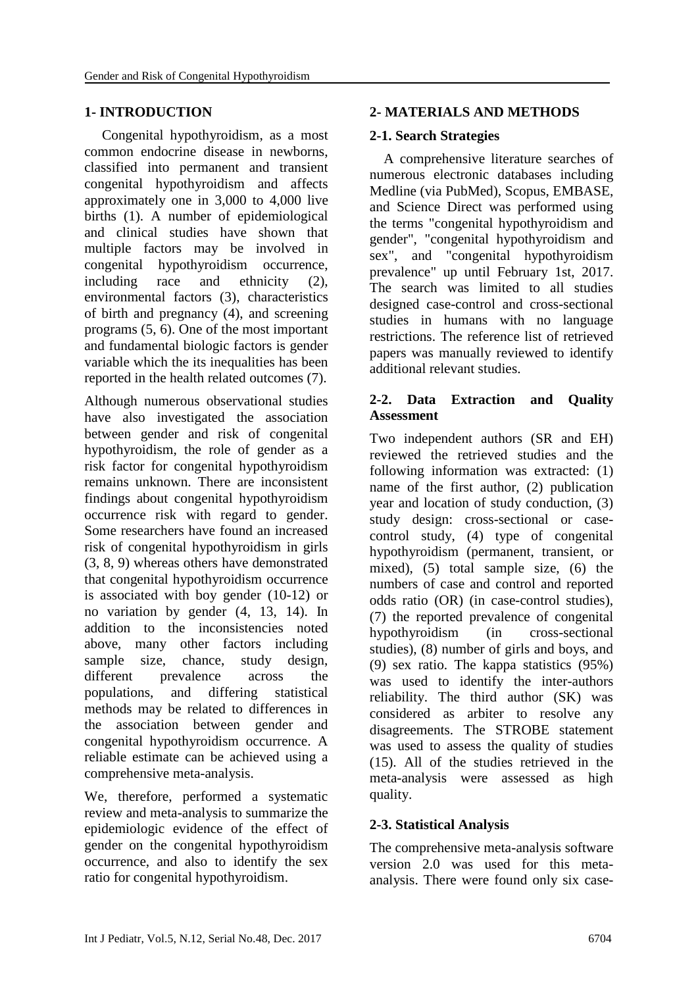## **1- INTRODUCTION**

 Congenital hypothyroidism, as a most common endocrine disease in newborns, classified into permanent and transient congenital hypothyroidism and affects approximately one in 3,000 to 4,000 live births (1). A number of epidemiological and clinical studies have shown that multiple factors may be involved in congenital hypothyroidism occurrence, including race and ethnicity (2), environmental factors (3), characteristics of birth and pregnancy (4), and screening programs (5, 6). One of the most important and fundamental biologic factors is gender variable which the its inequalities has been reported in the health related outcomes (7).

Although numerous observational studies have also investigated the association between gender and risk of congenital hypothyroidism, the role of gender as a risk factor for congenital hypothyroidism remains unknown. There are inconsistent findings about congenital hypothyroidism occurrence risk with regard to gender. Some researchers have found an increased risk of congenital hypothyroidism in girls (3, 8, 9) whereas others have demonstrated that congenital hypothyroidism occurrence is associated with boy gender (10-12) or no variation by gender (4, 13, 14). In addition to the inconsistencies noted above, many other factors including sample size, chance, study design, different prevalence across the populations, and differing statistical methods may be related to differences in the association between gender and congenital hypothyroidism occurrence. A reliable estimate can be achieved using a comprehensive meta-analysis.

We, therefore, performed a systematic review and meta-analysis to summarize the epidemiologic evidence of the effect of gender on the congenital hypothyroidism occurrence, and also to identify the sex ratio for congenital hypothyroidism.

## **2- MATERIALS AND METHODS**

## **2-1. Search Strategies**

 A comprehensive literature searches of numerous electronic databases including Medline (via PubMed), Scopus, EMBASE, and Science Direct was performed using the terms "congenital hypothyroidism and gender", "congenital hypothyroidism and sex", and "congenital hypothyroidism prevalence" up until February 1st, 2017. The search was limited to all studies designed case-control and cross-sectional studies in humans with no language restrictions. The reference list of retrieved papers was manually reviewed to identify additional relevant studies.

## **2-2. Data Extraction and Quality Assessment**

Two independent authors (SR and EH) reviewed the retrieved studies and the following information was extracted: (1) name of the first author, (2) publication year and location of study conduction, (3) study design: cross-sectional or casecontrol study, (4) type of congenital hypothyroidism (permanent, transient, or mixed), (5) total sample size, (6) the numbers of case and control and reported odds ratio (OR) (in case-control studies), (7) the reported prevalence of congenital hypothyroidism (in cross-sectional studies), (8) number of girls and boys, and (9) sex ratio. The kappa statistics (95%) was used to identify the inter-authors reliability. The third author (SK) was considered as arbiter to resolve any disagreements. The STROBE statement was used to assess the quality of studies (15). All of the studies retrieved in the meta-analysis were assessed as high quality.

## **2-3. Statistical Analysis**

The comprehensive meta-analysis software version 2.0 was used for this metaanalysis. There were found only six case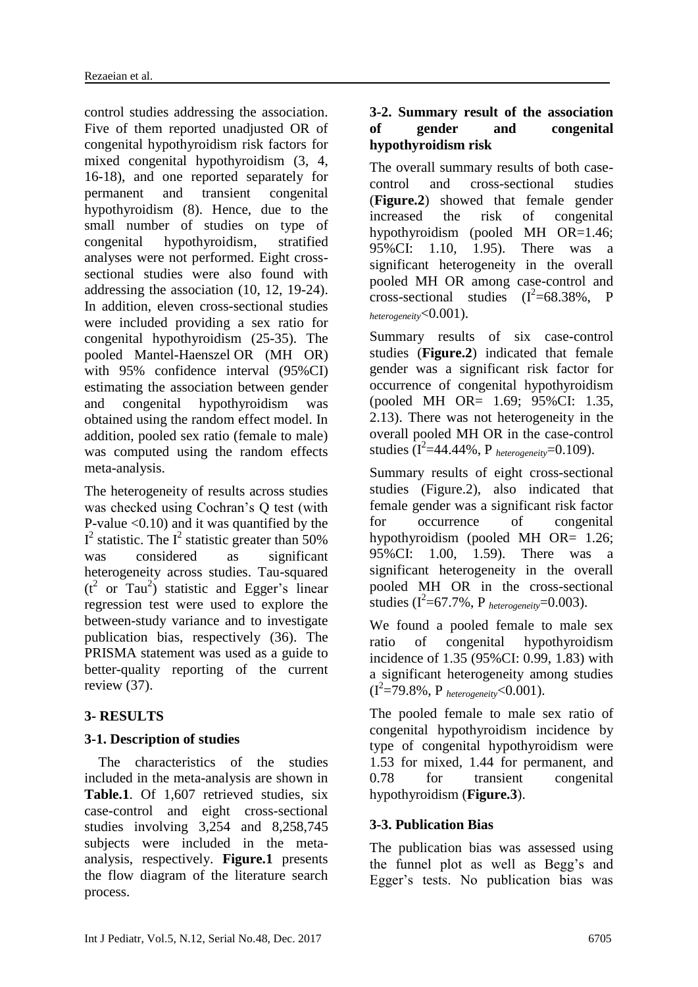control studies addressing the association. Five of them reported unadjusted OR of congenital hypothyroidism risk factors for mixed congenital hypothyroidism (3, 4, 16-18), and one reported separately for permanent and transient congenital hypothyroidism (8). Hence, due to the small number of studies on type of congenital hypothyroidism, stratified analyses were not performed. Eight crosssectional studies were also found with addressing the association (10, 12, 19-24). In addition, eleven cross-sectional studies were included providing a sex ratio for congenital hypothyroidism (25-35). The pooled Mantel-Haenszel OR (MH OR) with 95% confidence interval (95%CI) estimating the association between gender and congenital hypothyroidism was obtained using the random effect model. In addition, pooled sex ratio (female to male) was computed using the random effects meta-analysis.

The heterogeneity of results across studies was checked using Cochran's Q test (with P-value  $\leq 0.10$  and it was quantified by the  $I^2$  statistic. The  $I^2$  statistic greater than 50% was considered as significant heterogeneity across studies. Tau-squared  $(t<sup>2</sup>$  or Tau<sup>2</sup>) statistic and Egger's linear regression test were used to explore the between-study variance and to investigate publication bias, respectively (36). The PRISMA statement was used as a guide to better-quality reporting of the current review (37).

## **3- RESULTS**

## **3-1. Description of studies**

 The characteristics of the studies included in the meta-analysis are shown in Table.1. Of 1,607 retrieved studies, six case-control and eight cross-sectional studies involving 3,254 and 8,258,745 subjects were included in the metaanalysis, respectively. **Figure.1** presents the flow diagram of the literature search process.

## **3-2. Summary result of the association of gender and congenital hypothyroidism risk**

The overall summary results of both casecontrol and cross-sectional studies (**Figure.2**) showed that female gender increased the risk of congenital hypothyroidism (pooled MH OR=1.46; 95%CI: 1.10, 1.95). There was a significant heterogeneity in the overall pooled MH OR among case-control and cross-sectional studies  $(I^2=68.38\%, P)$ *heterogeneity*<0.001).

Summary results of six case-control studies (**Figure.2**) indicated that female gender was a significant risk factor for occurrence of congenital hypothyroidism (pooled MH OR= 1.69; 95%CI: 1.35, 2.13). There was not heterogeneity in the overall pooled MH OR in the case-control studies  $(I^2=44.44\%, P_{heterogeneity}=0.109)$ .

Summary results of eight cross-sectional studies (Figure.2), also indicated that female gender was a significant risk factor for occurrence of congenital hypothyroidism (pooled MH OR= 1.26; 95%CI: 1.00, 1.59). There was a significant heterogeneity in the overall pooled MH OR in the cross-sectional studies  $(I^2=67.7\%$ , P  $_{heterogeneity}=0.003$ ).

We found a pooled female to male sex ratio of congenital hypothyroidism incidence of 1.35 (95%CI: 0.99, 1.83) with a significant heterogeneity among studies (I2 =79.8%, P *heterogeneity*<0.001).

The pooled female to male sex ratio of congenital hypothyroidism incidence by type of congenital hypothyroidism were 1.53 for mixed, 1.44 for permanent, and 0.78 for transient congenital hypothyroidism (**Figure.3**).

## **3-3. Publication Bias**

The publication bias was assessed using the funnel plot as well as Begg's and Egger's tests. No publication bias was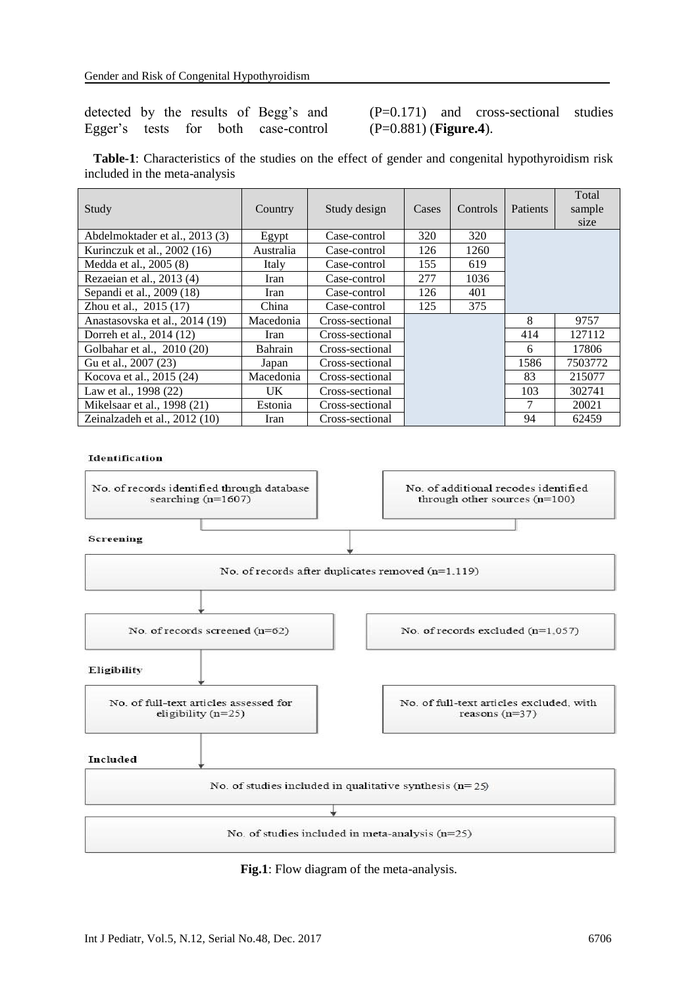## detected by the results of Begg's and Egger's tests for both case-control

(P=0.171) and cross-sectional studies (P=0.881) (**Figure.4**).

 **Table-1**: Characteristics of the studies on the effect of gender and congenital hypothyroidism risk included in the meta-analysis

| Study                          | Country   | Study design    | Cases       | Controls | <b>Patients</b> | Total<br>sample<br>size |
|--------------------------------|-----------|-----------------|-------------|----------|-----------------|-------------------------|
| Abdelmoktader et al., 2013 (3) | Egypt     | Case-control    | 320         | 320      |                 |                         |
| Kurinczuk et al., 2002 (16)    | Australia | Case-control    | 126         | 1260     |                 |                         |
| Medda et al., 2005 (8)         | Italy     | Case-control    | 155<br>619  |          |                 |                         |
| Rezaeian et al., 2013 (4)      | Iran      | Case-control    | 277<br>1036 |          |                 |                         |
| Sepandi et al., 2009 (18)      | Iran      | Case-control    | 126<br>401  |          |                 |                         |
| Zhou et al., 2015 (17)         | China     | Case-control    | 375<br>125  |          |                 |                         |
| Anastasovska et al., 2014 (19) | Macedonia | Cross-sectional |             |          | 8               | 9757                    |
| Dorreh et al., 2014 (12)       | Iran      | Cross-sectional |             |          | 414             | 127112                  |
| Golbahar et al., 2010 (20)     | Bahrain   | Cross-sectional |             |          | 6               | 17806                   |
| Gu et al., 2007 (23)           | Japan     | Cross-sectional |             |          | 1586            | 7503772                 |
| Kocova et al., 2015 (24)       | Macedonia | Cross-sectional |             |          | 83              | 215077                  |
| Law et al., 1998 (22)          | UK.       | Cross-sectional |             |          | 103             | 302741                  |
| Mikelsaar et al., 1998 (21)    | Estonia   | Cross-sectional |             |          | 7               | 20021                   |
| Zeinalzadeh et al., 2012 (10)  | Iran      | Cross-sectional |             |          | 94              | 62459                   |

#### Identification



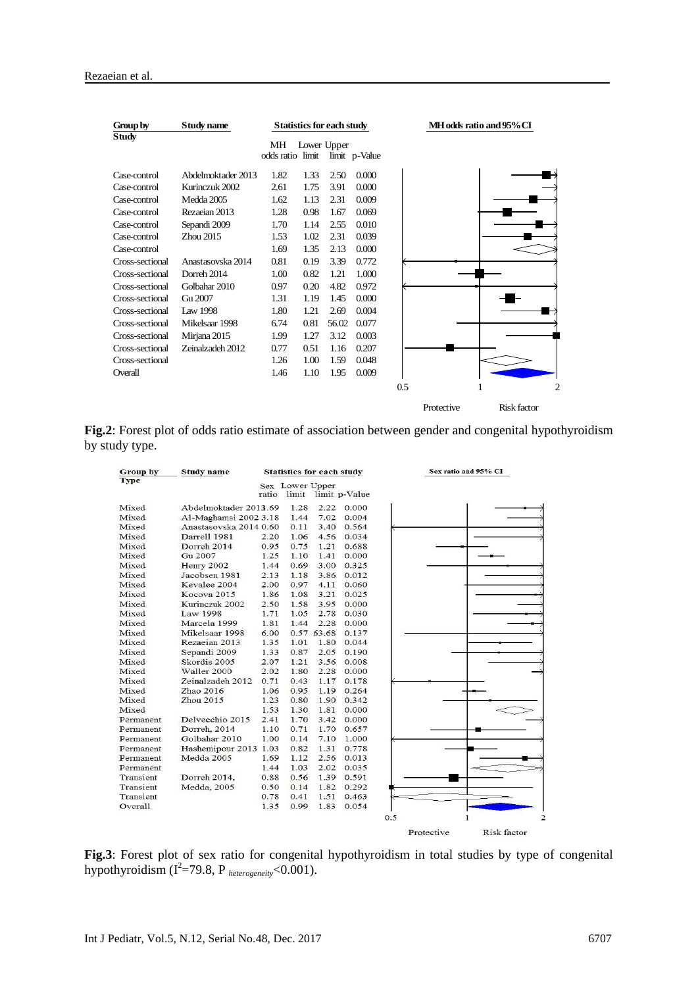| Group by        | Study name         | <b>Statistics for each study</b> |      |                              |       |     | MH odds ratio and 95% CI |             |  |
|-----------------|--------------------|----------------------------------|------|------------------------------|-------|-----|--------------------------|-------------|--|
| <b>Study</b>    |                    | MН<br>odds ratio limit           |      | Lower Upper<br>limit p-Value |       |     |                          |             |  |
| Case-control    | Abdelmoktader 2013 | 1.82                             | 1.33 | 2.50                         | 0.000 |     |                          |             |  |
| Case-control    | Kurinczuk 2002     | 2.61                             | 1.75 | 3.91                         | 0.000 |     |                          |             |  |
| Case-control    | Medda 2005         | 1.62                             | 1.13 | 2.31                         | 0.009 |     |                          |             |  |
| Case-control    | Rezaeian 2013      | 1.28                             | 0.98 | 1.67                         | 0.069 |     |                          |             |  |
| Case-control    | Sepandi 2009       | 1.70                             | 1.14 | 2.55                         | 0.010 |     |                          |             |  |
| Case-control    | Zhou 2015          | 1.53                             | 1.02 | 2.31                         | 0.039 |     |                          |             |  |
| Case-control    |                    | 1.69                             | 1.35 | 2.13                         | 0.000 |     |                          |             |  |
| Cross-sectional | Anastasovska 2014  | 0.81                             | 0.19 | 3.39                         | 0.772 |     |                          |             |  |
| Cross-sectional | Dorreh 2014        | 1.00                             | 0.82 | 1.21                         | 1.000 |     |                          |             |  |
| Cross-sectional | Golbahar 2010      | 0.97                             | 0.20 | 4.82                         | 0.972 |     |                          |             |  |
| Cross-sectional | Gu 2007            | 1.31                             | 1.19 | 1.45                         | 0.000 |     |                          |             |  |
| Cross-sectional | Law 1998           | 1.80                             | 1.21 | 2.69                         | 0.004 |     |                          |             |  |
| Cross-sectional | Mikelsaar 1998     | 6.74                             | 0.81 | 56.02                        | 0.077 |     |                          |             |  |
| Cross-sectional | Mirjana 2015       | 1.99                             | 1.27 | 3.12                         | 0.003 |     |                          |             |  |
| Cross-sectional | Zeinalzadeh 2012   | 0.77                             | 0.51 | 1.16                         | 0.207 |     |                          |             |  |
| Cross-sectional |                    | 1.26                             | 1.00 | 1.59                         | 0.048 |     |                          |             |  |
| Overall         |                    | 1.46                             | 1.10 | 1.95                         | 0.009 |     |                          |             |  |
|                 |                    |                                  |      |                              |       | 0.5 |                          | 2           |  |
|                 |                    |                                  |      |                              |       |     | Protective               | Risk factor |  |

**Fig.2**: Forest plot of odds ratio estimate of association between gender and congenital hypothyroidism by study type.

| <b>Group by</b> | <b>Study name</b>      | <b>Statistics for each study</b> |                 |            | Sex ratio and 95% CI |     |            |                     |
|-----------------|------------------------|----------------------------------|-----------------|------------|----------------------|-----|------------|---------------------|
| <b>Type</b>     |                        |                                  | Sex Lower Upper |            |                      |     |            |                     |
|                 |                        | ratio                            |                 |            | limit limit p-Value  |     |            |                     |
| Mixed           | Abdelmoktader 2013.69  |                                  | 1.28            | 2.22       | 0.000                |     |            |                     |
| Mixed           | Al-Maghamsi 2002 3.18  |                                  | 1.44            | 7.02       | 0.004                |     |            |                     |
| Mixed           | Anastasovska 2014 0.60 |                                  | 0.11            | 3.40       | 0.564                |     |            |                     |
| Mixed           | <b>Darrell</b> 1981    | 2.20                             | 1.06            | 4.56       | 0.034                |     |            |                     |
| Mixed           | Dorreh 2014            | 0.95                             | 0.75            | 1.21       | 0.688                |     |            |                     |
| Mixed           | Gu 2007                | 1.25                             | 1.10            | 1.41       | 0.000                |     |            |                     |
| Mixed           | Henry 2002             | 1.44                             | 0.69            | 3.00       | 0.325                |     |            |                     |
| Mixed           | Jacobsen 1981          | 2.13                             | 1.18            | 3.86       | 0.012                |     |            |                     |
| Mixed           | Kevalee 2004           | 2.00                             | 0.97            | 4.11       | 0.060                |     |            |                     |
| Mixed           | Kocova 2015            | 1.86                             | 1.08            | 3.21       | 0.025                |     |            |                     |
| Mixed           | Kurinezuk 2002         | 2.50                             | 1.58            | 3.95       | 0.000                |     |            |                     |
| Mixed           | Law 1998               | 1.71                             | 1.05            | 2.78       | 0.030                |     |            |                     |
| Mixed           | Marcela 1999           | 1.81                             | 1.44            | 2.28       | 0.000                |     |            |                     |
| Mixed           | Mikelsaar 1998         | 6.00                             |                 | 0.57 63.68 | 0.137                |     |            |                     |
| Mixed           | Rezaeian 2013          | 1.35                             | 1.01            | 1.80       | 0.044                |     |            |                     |
| Mixed           | Sepandi 2009           | 1.33                             | 0.87            | 2.05       | 0.190                |     |            |                     |
| Mixed           | Skordis 2005           | 2.07                             | 1.21            | 3.56       | 0.008                |     |            |                     |
| Mixed           | Waller 2000            | 2.02                             | 1.80            | 2.28       | 0.000                |     |            |                     |
| Mixed           | Zeinalzadeh 2012       | 0.71                             | 0.43            | 1.17       | 0.178                |     |            |                     |
| Mixed           | Zhao 2016              | 1.06                             | 0.95            | 1.19       | 0.264                |     |            |                     |
| Mixed           | Zhou 2015              | 1.23                             | 0.80            | 1.90       | 0.342                |     |            |                     |
| Mixed           |                        | 1.53                             | 1.30            | 1.81       | 0.000                |     |            |                     |
| Permanent       | Delvecchio 2015        | 2.41                             | 1.70            | 3.42       | 0.000                |     |            |                     |
| Permanent       | Dorreh, 2014           | 1.10                             | 0.71            | 1.70       | 0.657                |     |            |                     |
| Permanent       | Golbahar 2010          | 1.00                             | 0.14            | 7.10       | 1.000                |     |            |                     |
| Permanent       | Hashemipour 2013 1.03  |                                  | 0.82            | 1.31       | 0.778                |     |            |                     |
| Permanent       | Medda 2005             | 1.69                             | 1.12            | 2.56       | 0.013                |     |            |                     |
| Permanent       |                        | 1.44                             | 1.03            | 2.02       | 0.035                |     |            |                     |
| Transient       | Dorreh 2014,           | 0.88                             | 0.56            | 1.39       | 0.591                |     |            |                     |
| Transient       | Medda, 2005            | 0.50                             | 0.14            | 1.82       | 0.292                |     |            |                     |
| Transient       |                        | 0.78                             | 0.41            | 1.51       | 0.463                |     |            |                     |
| Overall         |                        | 1.35                             | 0.99            | 1.83       | 0.054                |     |            |                     |
|                 |                        |                                  |                 |            |                      | 0.5 |            | $\overline{2}$<br>1 |
|                 |                        |                                  |                 |            |                      |     | Protective | Risk factor         |

**Fig.3**: Forest plot of sex ratio for congenital hypothyroidism in total studies by type of congenital hypothyroidism  $(I^2=79.8, P_{heterogeneity}<0.001)$ .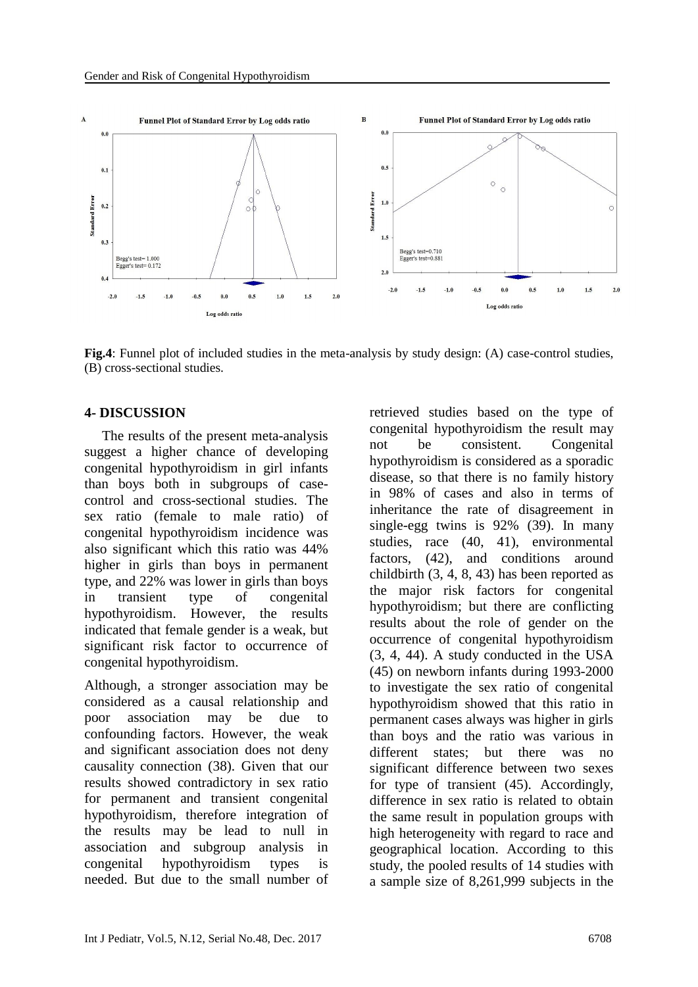

**Fig.4**: Funnel plot of included studies in the meta-analysis by study design: (A) case-control studies, (B) cross-sectional studies.

## **4- DISCUSSION**

 The results of the present meta-analysis suggest a higher chance of developing congenital hypothyroidism in girl infants than boys both in subgroups of casecontrol and cross-sectional studies. The sex ratio (female to male ratio) of congenital hypothyroidism incidence was also significant which this ratio was 44% higher in girls than boys in permanent type, and 22% was lower in girls than boys in transient type of congenital hypothyroidism. However, the results indicated that female gender is a weak, but significant risk factor to occurrence of congenital hypothyroidism.

Although, a stronger association may be considered as a causal relationship and poor association may be due to confounding factors. However, the weak and significant association does not deny causality connection (38). Given that our results showed contradictory in sex ratio for permanent and transient congenital hypothyroidism, therefore integration of the results may be lead to null in association and subgroup analysis in congenital hypothyroidism types is needed. But due to the small number of retrieved studies based on the type of congenital hypothyroidism the result may not be consistent. Congenital hypothyroidism is considered as a sporadic disease, so that there is no family history in 98% of cases and also in terms of inheritance the rate of disagreement in single-egg twins is 92% (39). In many studies, race (40, 41), environmental factors,  $(42)$ , and conditions around childbirth (3, 4, 8, 43) has been reported as the major risk factors for congenital hypothyroidism; but there are conflicting results about the role of gender on the occurrence of congenital hypothyroidism (3, 4, 44). A study conducted in the USA (45) on newborn infants during 1993-2000 to investigate the sex ratio of congenital hypothyroidism showed that this ratio in permanent cases always was higher in girls than boys and the ratio was various in different states; but there was no significant difference between two sexes for type of transient (45). Accordingly, difference in sex ratio is related to obtain the same result in population groups with high heterogeneity with regard to race and geographical location. According to this study, the pooled results of 14 studies with a sample size of 8,261,999 subjects in the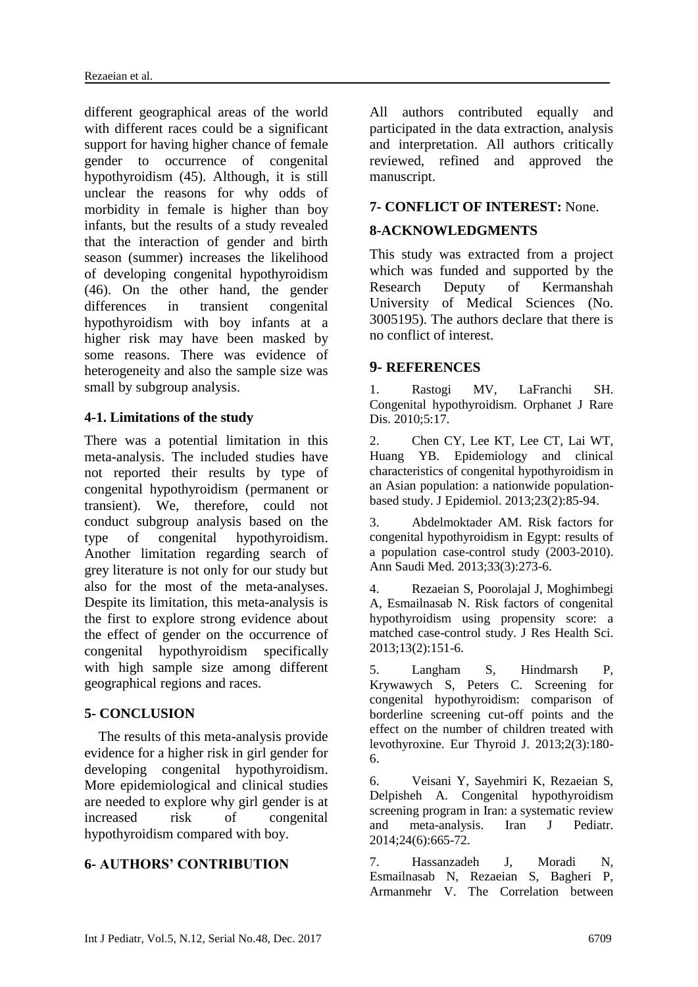different geographical areas of the world with different races could be a significant support for having higher chance of female gender to occurrence of congenital hypothyroidism (45). Although, it is still unclear the reasons for why odds of morbidity in female is higher than boy infants, but the results of a study revealed that the interaction of gender and birth season (summer) increases the likelihood of developing congenital hypothyroidism (46). On the other hand, the gender differences in transient congenital hypothyroidism with boy infants at a higher risk may have been masked by some reasons. There was evidence of heterogeneity and also the sample size was small by subgroup analysis.

## **4-1. Limitations of the study**

There was a potential limitation in this meta-analysis. The included studies have not reported their results by type of congenital hypothyroidism (permanent or transient). We, therefore, could not conduct subgroup analysis based on the type of congenital hypothyroidism. Another limitation regarding search of grey literature is not only for our study but also for the most of the meta-analyses. Despite its limitation, this meta-analysis is the first to explore strong evidence about the effect of gender on the occurrence of congenital hypothyroidism specifically with high sample size among different geographical regions and races.

## **5- CONCLUSION**

 The results of this meta-analysis provide evidence for a higher risk in girl gender for developing congenital hypothyroidism. More epidemiological and clinical studies are needed to explore why girl gender is at increased risk of congenital hypothyroidism compared with boy.

## **6- AUTHORS' CONTRIBUTION**

All authors contributed equally and participated in the data extraction, analysis and interpretation. All authors critically reviewed, refined and approved the manuscript.

## **7- CONFLICT OF INTEREST:** None.

## **8-ACKNOWLEDGMENTS**

This study was extracted from a project which was funded and supported by the Research Deputy of Kermanshah University of Medical Sciences (No. 3005195). The authors declare that there is no conflict of interest.

## **9- REFERENCES**

1. Rastogi MV, LaFranchi SH. Congenital hypothyroidism. Orphanet J Rare Dis. 2010;5:17.

2. Chen CY, Lee KT, Lee CT, Lai WT, Huang YB. Epidemiology and clinical characteristics of congenital hypothyroidism in an Asian population: a nationwide populationbased study. J Epidemiol. 2013;23(2):85-94.

3. Abdelmoktader AM. Risk factors for congenital hypothyroidism in Egypt: results of a population case-control study (2003-2010). Ann Saudi Med. 2013;33(3):273-6.

4. Rezaeian S, Poorolajal J, Moghimbegi A, Esmailnasab N. Risk factors of congenital hypothyroidism using propensity score: a matched case-control study. J Res Health Sci. 2013;13(2):151-6.

5. Langham S, Hindmarsh P, Krywawych S, Peters C. Screening for congenital hypothyroidism: comparison of borderline screening cut-off points and the effect on the number of children treated with levothyroxine. Eur Thyroid J. 2013;2(3):180- 6.

6. Veisani Y, Sayehmiri K, Rezaeian S, Delpisheh A. Congenital hypothyroidism screening program in Iran: a systematic review and meta-analysis. Iran J Pediatr. 2014;24(6):665-72.

7. Hassanzadeh J, Moradi N, Esmailnasab N, Rezaeian S, Bagheri P, Armanmehr V. The Correlation between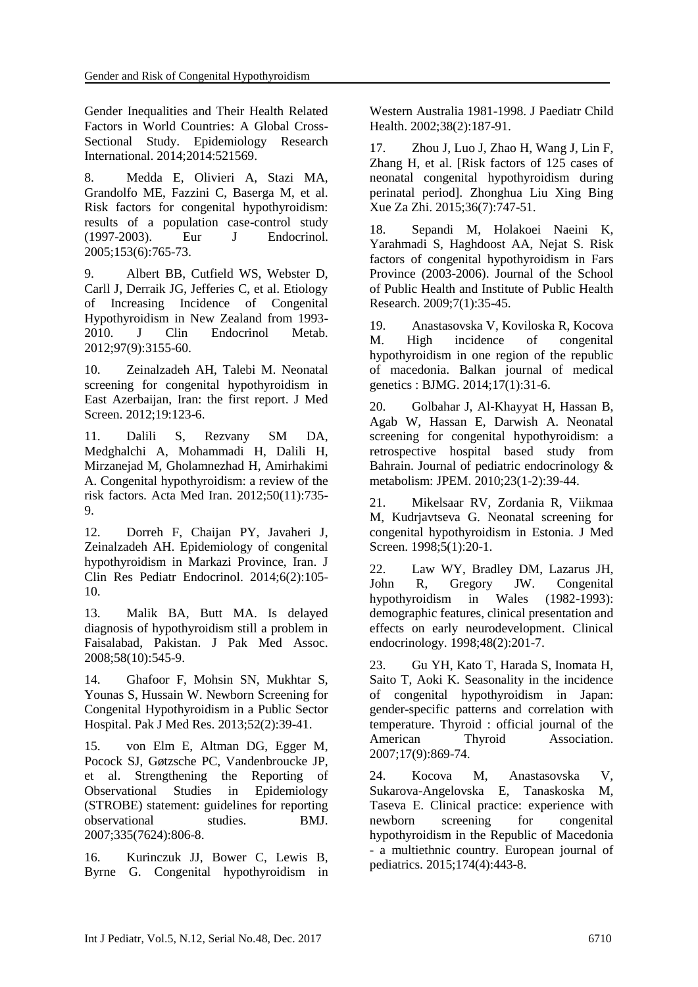Gender Inequalities and Their Health Related Factors in World Countries: A Global Cross-Sectional Study. Epidemiology Research International. 2014;2014:521569.

8. Medda E, Olivieri A, Stazi MA, Grandolfo ME, Fazzini C, Baserga M, et al. Risk factors for congenital hypothyroidism: results of a population case-control study (1997-2003). Eur J Endocrinol. 2005;153(6):765-73.

9. Albert BB, Cutfield WS, Webster D, Carll J, Derraik JG, Jefferies C, et al. Etiology of Increasing Incidence of Congenital Hypothyroidism in New Zealand from 1993- 2010 J Clin Endocrinol Metab 2012;97(9):3155-60.

10. Zeinalzadeh AH, Talebi M. Neonatal screening for congenital hypothyroidism in East Azerbaijan, Iran: the first report. J Med Screen. 2012;19:123-6.

11. Dalili S, Rezvany SM DA, Medghalchi A, Mohammadi H, Dalili H, Mirzanejad M, Gholamnezhad H, Amirhakimi A. Congenital hypothyroidism: a review of the risk factors. Acta Med Iran. 2012;50(11):735- 9.

12. Dorreh F, Chaijan PY, Javaheri J, Zeinalzadeh AH. Epidemiology of congenital hypothyroidism in Markazi Province, Iran. J Clin Res Pediatr Endocrinol. 2014;6(2):105- 10.

13. Malik BA, Butt MA. Is delayed diagnosis of hypothyroidism still a problem in Faisalabad, Pakistan. J Pak Med Assoc. 2008;58(10):545-9.

14. Ghafoor F, Mohsin SN, Mukhtar S, Younas S, Hussain W. Newborn Screening for Congenital Hypothyroidism in a Public Sector Hospital. Pak J Med Res. 2013;52(2):39-41.

15. von Elm E, Altman DG, Egger M, Pocock SJ, Gøtzsche PC, Vandenbroucke JP, et al. Strengthening the Reporting of Observational Studies in Epidemiology (STROBE) statement: guidelines for reporting observational studies. BMJ. 2007;335(7624):806-8.

16. Kurinczuk JJ, Bower C, Lewis B, Byrne G. Congenital hypothyroidism in Western Australia 1981-1998. J Paediatr Child Health. 2002;38(2):187-91.

17. Zhou J, Luo J, Zhao H, Wang J, Lin F, Zhang H, et al. [Risk factors of 125 cases of neonatal congenital hypothyroidism during perinatal period]. Zhonghua Liu Xing Bing Xue Za Zhi. 2015;36(7):747-51.

18. Sepandi M, Holakoei Naeini K, Yarahmadi S, Haghdoost AA, Nejat S. Risk factors of congenital hypothyroidism in Fars Province (2003-2006). Journal of the School of Public Health and Institute of Public Health Research. 2009;7(1):35-45.

19. Anastasovska V, Koviloska R, Kocova M. High incidence of congenital hypothyroidism in one region of the republic of macedonia. Balkan journal of medical genetics : BJMG. 2014;17(1):31-6.

20. Golbahar J, Al-Khayyat H, Hassan B, Agab W, Hassan E, Darwish A. Neonatal screening for congenital hypothyroidism: a retrospective hospital based study from Bahrain. Journal of pediatric endocrinology & metabolism: JPEM. 2010;23(1-2):39-44.

21. Mikelsaar RV, Zordania R, Viikmaa M, Kudrjavtseva G. Neonatal screening for congenital hypothyroidism in Estonia. J Med Screen. 1998;5(1):20-1.

22. Law WY, Bradley DM, Lazarus JH, John R, Gregory JW. Congenital hypothyroidism in Wales (1982-1993): demographic features, clinical presentation and effects on early neurodevelopment. Clinical endocrinology. 1998;48(2):201-7.

23. Gu YH, Kato T, Harada S, Inomata H, Saito T, Aoki K. Seasonality in the incidence of congenital hypothyroidism in Japan: gender-specific patterns and correlation with temperature. Thyroid : official journal of the American Thyroid Association. 2007;17(9):869-74.

24. Kocova M, Anastasovska V, Sukarova-Angelovska E, Tanaskoska M, Taseva E. Clinical practice: experience with newborn screening for congenital hypothyroidism in the Republic of Macedonia - a multiethnic country. European journal of pediatrics. 2015;174(4):443-8.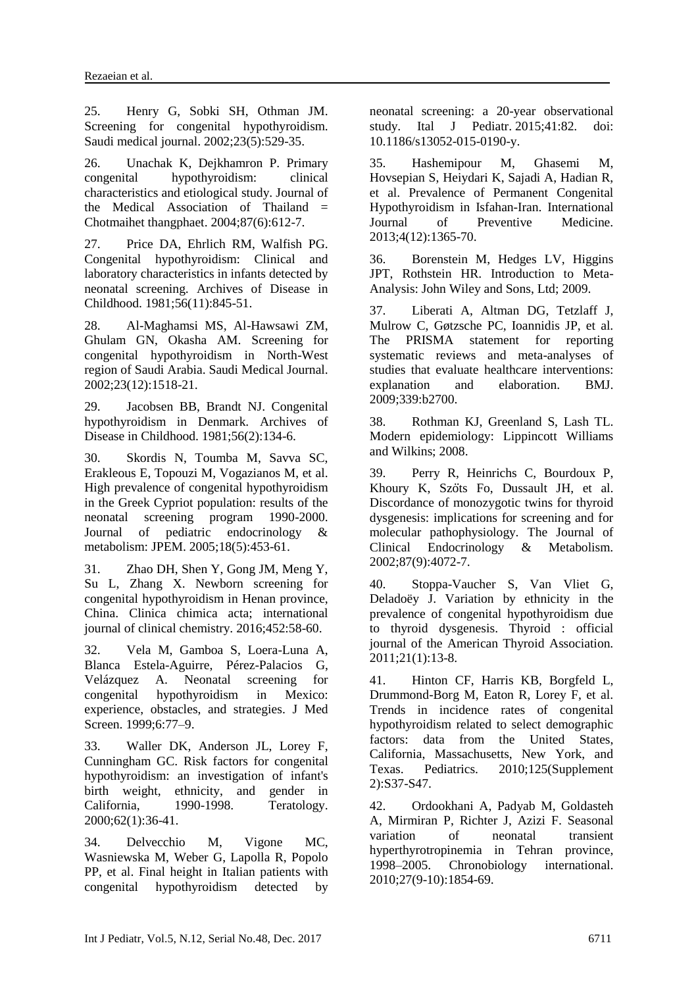25. Henry G, Sobki SH, Othman JM. Screening for congenital hypothyroidism. Saudi medical journal. 2002;23(5):529-35.

26. Unachak K, Dejkhamron P. Primary congenital hypothyroidism: clinical characteristics and etiological study. Journal of the Medical Association of Thailand  $=$ Chotmaihet thangphaet. 2004;87(6):612-7.

27. Price DA, Ehrlich RM, Walfish PG. Congenital hypothyroidism: Clinical and laboratory characteristics in infants detected by neonatal screening. Archives of Disease in Childhood. 1981;56(11):845-51.

28. Al-Maghamsi MS, Al-Hawsawi ZM, Ghulam GN, Okasha AM. Screening for congenital hypothyroidism in North-West region of Saudi Arabia. Saudi Medical Journal. 2002;23(12):1518-21.

29. Jacobsen BB, Brandt NJ. Congenital hypothyroidism in Denmark. Archives of Disease in Childhood. 1981;56(2):134-6.

30. Skordis N, Toumba M, Savva SC, Erakleous E, Topouzi M, Vogazianos M, et al. High prevalence of congenital hypothyroidism in the Greek Cypriot population: results of the neonatal screening program 1990-2000. Journal of pediatric endocrinology & metabolism: JPEM. 2005;18(5):453-61.

31. Zhao DH, Shen Y, Gong JM, Meng Y, Su L, Zhang X. Newborn screening for congenital hypothyroidism in Henan province, China. Clinica chimica acta; international journal of clinical chemistry. 2016;452:58-60.

32. Vela M, Gamboa S, Loera-Luna A, Blanca Estela-Aguirre, Pérez-Palacios G, Velázquez A. Neonatal screening for congenital hypothyroidism in Mexico: experience, obstacles, and strategies. J Med Screen. 1999;6:77–9.

33. Waller DK, Anderson JL, Lorey F, Cunningham GC. Risk factors for congenital hypothyroidism: an investigation of infant's birth weight, ethnicity, and gender in California, 1990-1998. Teratology. 2000;62(1):36-41.

34. Delvecchio M, Vigone MC, Wasniewska M, Weber G, Lapolla R, Popolo PP, et al. Final height in Italian patients with congenital hypothyroidism detected by neonatal screening: a 20-year observational study. [Ital J Pediatr.](https://www.ncbi.nlm.nih.gov/pubmed/26511640) 2015;41:82. doi: 10.1186/s13052-015-0190-y.

35. Hashemipour M, Ghasemi M, Hovsepian S, Heiydari K, Sajadi A, Hadian R, et al. Prevalence of Permanent Congenital Hypothyroidism in Isfahan-Iran. International Journal of Preventive Medicine. 2013;4(12):1365-70.

36. Borenstein M, Hedges LV, Higgins JPT, Rothstein HR. Introduction to Meta-Analysis: John Wiley and Sons, Ltd; 2009.

37. Liberati A, Altman DG, Tetzlaff J, Mulrow C, Gøtzsche PC, Ioannidis JP, et al. The PRISMA statement for reporting systematic reviews and meta-analyses of studies that evaluate healthcare interventions: explanation and elaboration. BMJ. 2009;339:b2700.

38. Rothman KJ, Greenland S, Lash TL. Modern epidemiology: Lippincott Williams and Wilkins; 2008.

39. Perry R, Heinrichs C, Bourdoux P, Khoury K, Szöts Fo, Dussault JH, et al. Discordance of monozygotic twins for thyroid dysgenesis: implications for screening and for molecular pathophysiology. The Journal of Clinical Endocrinology & Metabolism. 2002;87(9):4072-7.

40. Stoppa-Vaucher S, Van Vliet G, Deladoëy J. Variation by ethnicity in the prevalence of congenital hypothyroidism due to thyroid dysgenesis. Thyroid : official journal of the American Thyroid Association. 2011;21(1):13-8.

41. Hinton CF, Harris KB, Borgfeld L, Drummond-Borg M, Eaton R, Lorey F, et al. Trends in incidence rates of congenital hypothyroidism related to select demographic factors: data from the United States, California, Massachusetts, New York, and Texas. Pediatrics. 2010;125(Supplement 2):S37-S47.

42. Ordookhani A, Padyab M, Goldasteh A, Mirmiran P, Richter J, Azizi F. Seasonal variation of neonatal transient hyperthyrotropinemia in Tehran province, 1998–2005. Chronobiology international. 2010;27(9-10):1854-69.